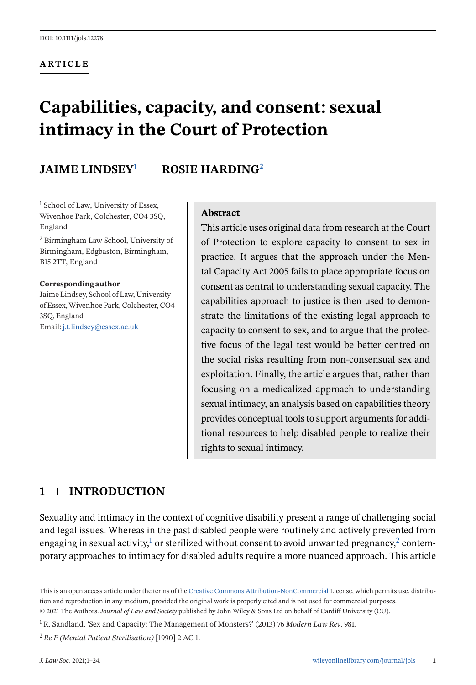#### **ARTICLE**

# **Capabilities, capacity, and consent: sexual intimacy in the Court of Protection**

# **JAIME LINDSEY1 ROSIE HARDING<sup>2</sup>**

<sup>1</sup> School of Law, University of Essex, Wivenhoe Park, Colchester, CO4 3SQ, England <sup>2</sup> Birmingham Law School, University of

Birmingham, Edgbaston, Birmingham, B15 2TT, England

#### **Corresponding author**

Jaime Lindsey, School of Law, University of Essex,Wivenhoe Park, Colchester, CO4 3SQ, England Email: [j.t.lindsey@essex.ac.uk](mailto:j.t.lindsey@essex.ac.uk)

#### **Abstract**

This article uses original data from research at the Court of Protection to explore capacity to consent to sex in practice. It argues that the approach under the Mental Capacity Act 2005 fails to place appropriate focus on consent as central to understanding sexual capacity. The capabilities approach to justice is then used to demonstrate the limitations of the existing legal approach to capacity to consent to sex, and to argue that the protective focus of the legal test would be better centred on the social risks resulting from non-consensual sex and exploitation. Finally, the article argues that, rather than focusing on a medicalized approach to understanding sexual intimacy, an analysis based on capabilities theory provides conceptual tools to support arguments for additional resources to help disabled people to realize their rights to sexual intimacy.

## **1 INTRODUCTION**

Sexuality and intimacy in the context of cognitive disability present a range of challenging social and legal issues. Whereas in the past disabled people were routinely and actively prevented from engaging in sexual activity, $1$  or sterilized without consent to avoid unwanted pregnancy, $2$  contemporary approaches to intimacy for disabled adults require a more nuanced approach. This article

This is an open access article under the terms of the [Creative Commons Attribution-NonCommercial](http://creativecommons.org/licenses/by-nc/4.0/) License, which permits use, distribution and reproduction in any medium, provided the original work is properly cited and is not used for commercial purposes. © 2021 The Authors. *Journal of Law and Society* published by John Wiley & Sons Ltd on behalf of Cardiff University (CU).

<sup>1</sup> R. Sandland, 'Sex and Capacity: The Management of Monsters?' (2013) 76 *Modern Law Rev*. 981.

<sup>2</sup> *Re F (Mental Patient Sterilisation)* [1990] 2 AC 1.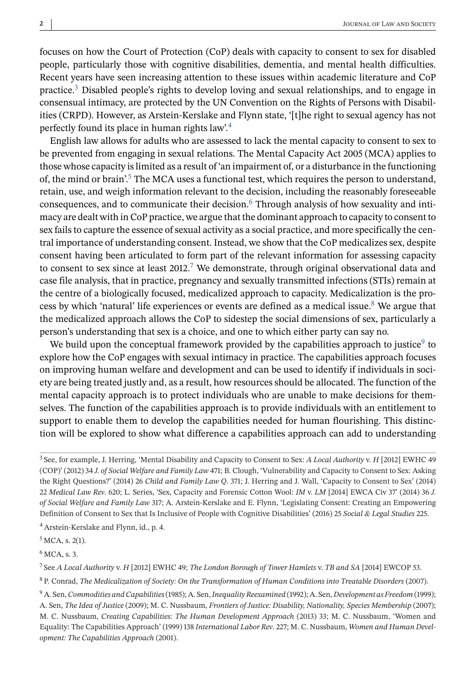focuses on how the Court of Protection (CoP) deals with capacity to consent to sex for disabled people, particularly those with cognitive disabilities, dementia, and mental health difficulties. Recent years have seen increasing attention to these issues within academic literature and CoP practice.3 Disabled people's rights to develop loving and sexual relationships, and to engage in consensual intimacy, are protected by the UN Convention on the Rights of Persons with Disabilities (CRPD). However, as Arstein-Kerslake and Flynn state, '[t]he right to sexual agency has not perfectly found its place in human rights law'.<sup>4</sup>

English law allows for adults who are assessed to lack the mental capacity to consent to sex to be prevented from engaging in sexual relations. The Mental Capacity Act 2005 (MCA) applies to those whose capacity is limited as a result of 'an impairment of, or a disturbance in the functioning of, the mind or brain'.<sup>5</sup> The MCA uses a functional test, which requires the person to understand, retain, use, and weigh information relevant to the decision, including the reasonably foreseeable consequences, and to communicate their decision.<sup>6</sup> Through analysis of how sexuality and intimacy are dealt with in CoP practice, we argue that the dominant approach to capacity to consent to sex fails to capture the essence of sexual activity as a social practice, and more specifically the central importance of understanding consent. Instead, we show that the CoP medicalizes sex, despite consent having been articulated to form part of the relevant information for assessing capacity to consent to sex since at least  $2012<sup>7</sup>$  We demonstrate, through original observational data and case file analysis, that in practice, pregnancy and sexually transmitted infections (STIs) remain at the centre of a biologically focused, medicalized approach to capacity. Medicalization is the process by which 'natural' life experiences or events are defined as a medical issue.<sup>8</sup> We argue that the medicalized approach allows the CoP to sidestep the social dimensions of sex, particularly a person's understanding that sex is a choice, and one to which either party can say no.

We build upon the conceptual framework provided by the capabilities approach to justice<sup>9</sup> to explore how the CoP engages with sexual intimacy in practice. The capabilities approach focuses on improving human welfare and development and can be used to identify if individuals in society are being treated justly and, as a result, how resources should be allocated. The function of the mental capacity approach is to protect individuals who are unable to make decisions for themselves. The function of the capabilities approach is to provide individuals with an entitlement to support to enable them to develop the capabilities needed for human flourishing. This distinction will be explored to show what difference a capabilities approach can add to understanding

<sup>4</sup> Arstein-Kerslake and Flynn, id., p. 4.

 $6$  MCA, s. 3.

<sup>7</sup> See *A Local Authority* v. *H* [2012] EWHC 49; *The London Borough of Tower Hamlets* v. *TB and SA* [2014] EWCOP 53.

<sup>8</sup> P. Conrad, *The Medicalization of Society: On the Transformation of Human Conditions into Treatable Disorders* (2007).

<sup>3</sup> See, for example, J. Herring, 'Mental Disability and Capacity to Consent to Sex: *A Local Authority* v. *H* [2012] EWHC 49 (COP)' (2012) 34 *J. of Social Welfare and Family Law* 471; B. Clough, 'Vulnerability and Capacity to Consent to Sex: Asking the Right Questions?' (2014) 26 *Child and Family Law Q*. 371; J. Herring and J. Wall, 'Capacity to Consent to Sex' (2014) 22 *Medical Law Rev*. 620; L. Series, 'Sex, Capacity and Forensic Cotton Wool: *IM* v. *LM* [2014] EWCA Civ 37' (2014) 36 *J. of Social Welfare and Family Law* 317; A. Arstein-Kerslake and E. Flynn, 'Legislating Consent: Creating an Empowering Definition of Consent to Sex that Is Inclusive of People with Cognitive Disabilities' (2016) 25 *Social & Legal Studies* 225.

 $5$  MCA, s. 2(1).

<sup>9</sup> A. Sen,*Commodities and Capabilities*(1985); A. Sen,*Inequality Reexamined* (1992); A. Sen, *Development as Freedom* (1999); A. Sen, *The Idea of Justice* (2009); M. C. Nussbaum, *Frontiers of Justice: Disability, Nationality, Species Membership* (2007); M. C. Nussbaum, *Creating Capabilities: The Human Development Approach* (2013) 33; M. C. Nussbaum, 'Women and Equality: The Capabilities Approach' (1999) 138 *International Labor Rev*. 227; M. C. Nussbaum, *Women and Human Development: The Capabilities Approach* (2001).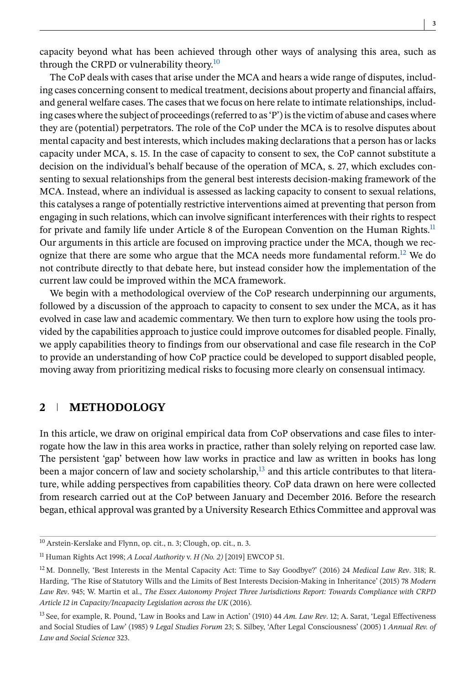**3**

capacity beyond what has been achieved through other ways of analysing this area, such as through the CRPD or vulnerability theory.<sup>10</sup>

The CoP deals with cases that arise under the MCA and hears a wide range of disputes, including cases concerning consent to medical treatment, decisions about property and financial affairs, and general welfare cases. The cases that we focus on here relate to intimate relationships, including cases where the subject of proceedings (referred to as 'P') is the victim of abuse and cases where they are (potential) perpetrators. The role of the CoP under the MCA is to resolve disputes about mental capacity and best interests, which includes making declarations that a person has or lacks capacity under MCA, s. 15. In the case of capacity to consent to sex, the CoP cannot substitute a decision on the individual's behalf because of the operation of MCA, s. 27, which excludes consenting to sexual relationships from the general best interests decision-making framework of the MCA. Instead, where an individual is assessed as lacking capacity to consent to sexual relations, this catalyses a range of potentially restrictive interventions aimed at preventing that person from engaging in such relations, which can involve significant interferences with their rights to respect for private and family life under Article 8 of the European Convention on the Human Rights.<sup>11</sup> Our arguments in this article are focused on improving practice under the MCA, though we recognize that there are some who argue that the MCA needs more fundamental reform.<sup>12</sup> We do not contribute directly to that debate here, but instead consider how the implementation of the current law could be improved within the MCA framework.

We begin with a methodological overview of the CoP research underpinning our arguments, followed by a discussion of the approach to capacity to consent to sex under the MCA, as it has evolved in case law and academic commentary. We then turn to explore how using the tools provided by the capabilities approach to justice could improve outcomes for disabled people. Finally, we apply capabilities theory to findings from our observational and case file research in the CoP to provide an understanding of how CoP practice could be developed to support disabled people, moving away from prioritizing medical risks to focusing more clearly on consensual intimacy.

## **2 METHODOLOGY**

In this article, we draw on original empirical data from CoP observations and case files to interrogate how the law in this area works in practice, rather than solely relying on reported case law. The persistent 'gap' between how law works in practice and law as written in books has long been a major concern of law and society scholarship, $^{13}$  and this article contributes to that literature, while adding perspectives from capabilities theory. CoP data drawn on here were collected from research carried out at the CoP between January and December 2016. Before the research began, ethical approval was granted by a University Research Ethics Committee and approval was

<sup>10</sup> Arstein-Kerslake and Flynn, op. cit., n. 3; Clough, op. cit., n. 3.

<sup>11</sup> Human Rights Act 1998; *A Local Authority* v. *H (No. 2)* [2019] EWCOP 51.

<sup>12</sup> M. Donnelly, 'Best Interests in the Mental Capacity Act: Time to Say Goodbye?' (2016) 24 *Medical Law Rev*. 318; R. Harding, 'The Rise of Statutory Wills and the Limits of Best Interests Decision-Making in Inheritance' (2015) 78 *Modern Law Rev*. 945; W. Martin et al., *The Essex Autonomy Project Three Jurisdictions Report: Towards Compliance with CRPD Article 12 in Capacity/Incapacity Legislation across the UK* (2016).

<sup>13</sup> See, for example, R. Pound, 'Law in Books and Law in Action' (1910) 44 *Am. Law Rev*. 12; A. Sarat, 'Legal Effectiveness and Social Studies of Law' (1985) 9 *Legal Studies Forum* 23; S. Silbey, 'After Legal Consciousness' (2005) 1 *Annual Rev. of Law and Social Science* 323.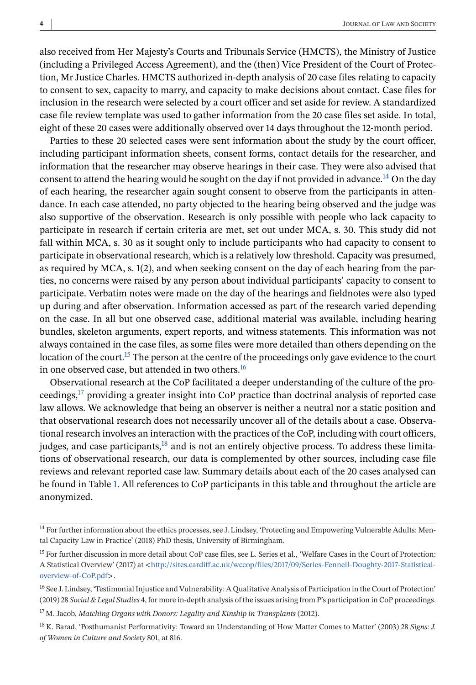also received from Her Majesty's Courts and Tribunals Service (HMCTS), the Ministry of Justice (including a Privileged Access Agreement), and the (then) Vice President of the Court of Protection, Mr Justice Charles. HMCTS authorized in-depth analysis of 20 case files relating to capacity to consent to sex, capacity to marry, and capacity to make decisions about contact. Case files for inclusion in the research were selected by a court officer and set aside for review. A standardized case file review template was used to gather information from the 20 case files set aside. In total, eight of these 20 cases were additionally observed over 14 days throughout the 12-month period.

Parties to these 20 selected cases were sent information about the study by the court officer, including participant information sheets, consent forms, contact details for the researcher, and information that the researcher may observe hearings in their case. They were also advised that consent to attend the hearing would be sought on the day if not provided in advance.<sup>14</sup> On the day of each hearing, the researcher again sought consent to observe from the participants in attendance. In each case attended, no party objected to the hearing being observed and the judge was also supportive of the observation. Research is only possible with people who lack capacity to participate in research if certain criteria are met, set out under MCA, s. 30. This study did not fall within MCA, s. 30 as it sought only to include participants who had capacity to consent to participate in observational research, which is a relatively low threshold. Capacity was presumed, as required by MCA, s. 1(2), and when seeking consent on the day of each hearing from the parties, no concerns were raised by any person about individual participants' capacity to consent to participate. Verbatim notes were made on the day of the hearings and fieldnotes were also typed up during and after observation. Information accessed as part of the research varied depending on the case. In all but one observed case, additional material was available, including hearing bundles, skeleton arguments, expert reports, and witness statements. This information was not always contained in the case files, as some files were more detailed than others depending on the location of the court.<sup>15</sup> The person at the centre of the proceedings only gave evidence to the court in one observed case, but attended in two others.<sup>16</sup>

Observational research at the CoP facilitated a deeper understanding of the culture of the proceedings,<sup>17</sup> providing a greater insight into CoP practice than doctrinal analysis of reported case law allows. We acknowledge that being an observer is neither a neutral nor a static position and that observational research does not necessarily uncover all of the details about a case. Observational research involves an interaction with the practices of the CoP, including with court officers, judges, and case participants, $18$  and is not an entirely objective process. To address these limitations of observational research, our data is complemented by other sources, including case file reviews and relevant reported case law. Summary details about each of the 20 cases analysed can be found in Table [1.](#page-4-0) All references to CoP participants in this table and throughout the article are anonymized.

<sup>&</sup>lt;sup>14</sup> For further information about the ethics processes, see J. Lindsey, 'Protecting and Empowering Vulnerable Adults: Mental Capacity Law in Practice' (2018) PhD thesis, University of Birmingham.

<sup>&</sup>lt;sup>15</sup> For further discussion in more detail about CoP case files, see L. Series et al., 'Welfare Cases in the Court of Protection: A Statistical Overview' (2017) at <[http://sites.cardiff.ac.uk/wccop/files/2017/09/Series-Fennell-Doughty-2017-Statistical](http://sites.cardiff.ac.uk/wccop/files/2017/09/Series-Fennell-Doughty-2017-Statistical-overview-of-CoP.pdf)[overview-of-CoP.pdf](http://sites.cardiff.ac.uk/wccop/files/2017/09/Series-Fennell-Doughty-2017-Statistical-overview-of-CoP.pdf)>.

<sup>&</sup>lt;sup>16</sup> See J. Lindsey, 'Testimonial Injustice and Vulnerability: A Qualitative Analysis of Participation in the Court of Protection' (2019) 28 *Social & Legal Studies* 4, for more in-depth analysis of the issues arising from P's participation in CoP proceedings.

<sup>17</sup> M. Jacob, *Matching Organs with Donors: Legality and Kinship in Transplants* (2012).

<sup>18</sup> K. Barad, 'Posthumanist Performativity: Toward an Understanding of How Matter Comes to Matter' (2003) 28 *Signs: J. of Women in Culture and Society* 801, at 816.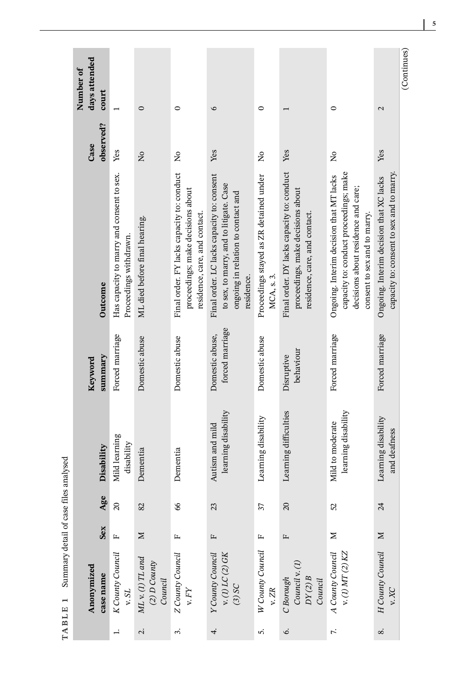<span id="page-4-0"></span>

| Number of | days attended<br>court<br>observed?<br>Case | Yes                                                                 | $\circ$<br>$\tilde{z}$                          | $\circ$<br>$\frac{1}{2}$                                                                                         | 6<br>Yes                                                                                                                                  | 0<br>$\tilde{z}$                                     | Yes                                                                                                                      | 0<br>$\tilde{z}$                                                                                                                                         |                                         |
|-----------|---------------------------------------------|---------------------------------------------------------------------|-------------------------------------------------|------------------------------------------------------------------------------------------------------------------|-------------------------------------------------------------------------------------------------------------------------------------------|------------------------------------------------------|--------------------------------------------------------------------------------------------------------------------------|----------------------------------------------------------------------------------------------------------------------------------------------------------|-----------------------------------------|
|           | Outcome                                     | Has capacity to marry and consent to sex.<br>Proceedings withdrawn. | ML died before final hearing.                   | Final order. FY lacks capacity to: conduct<br>proceedings; make decisions about<br>residence, care, and contact. | Final order. LC lacks capacity to: consent<br>to sex, to marry, and to litigate. Case<br>ongoing in relation to contact and<br>residence. | Proceedings stayed as ZR detained under<br>MCA, s.3. | Final order. DY lacks capacity to: conduct<br>proceedings, make decisions about<br>residence, care, and contact.         | capacity to: conduct proceedings; make<br>Ongoing. Interim decision that MT lacks<br>decisions about residence and care;<br>consent to sex and to marry. | Ongoing. Interim decision that XC lacks |
|           | summary<br>Keyword                          | Forced marriage                                                     | Domestic abuse                                  | Domestic abuse                                                                                                   | forced marriage<br>Domestic abuse,                                                                                                        | Domestic abuse                                       | behaviour<br>Disruptive                                                                                                  | Forced marriage                                                                                                                                          | Forced marriage                         |
|           | Disability                                  | Mild learning<br>disability                                         | Dementia                                        | Dementia                                                                                                         | learning disability<br>Autism and mild                                                                                                    | Learning disability                                  | Learning difficulties                                                                                                    | learning disability<br>Mild to moderate                                                                                                                  | Learning disability                     |
|           | Age                                         | $\Omega$                                                            | 82                                              | 66                                                                                                               | 23                                                                                                                                        | 37                                                   | $\Omega$                                                                                                                 | 25                                                                                                                                                       | $\overline{\mathcal{A}}$                |
|           | Sex                                         | $\mathbf{L}$                                                        | Σ                                               | д,                                                                                                               | $\mathbf{L}$                                                                                                                              |                                                      | Щ                                                                                                                        | Σ                                                                                                                                                        | $\geq$                                  |
|           | Anonymized<br>case name                     | K County Council<br>v. $SL$                                         | $ML$ v. (1) TL and<br>$(2) D$ County<br>Council | Z County Council<br>v. ${\cal F}Y$                                                                               | Y County Council<br>v. (1) LC (2) GK<br>(3) SC                                                                                            | W County Council<br>v. $ZR$                          | $\begin{array}{l} C \, Borough \\ \hline \, Council \, \mathbf{v}_{\cdot}(1) \\ \, DY(2) \, B \\ \, Council \end{array}$ | A County Council<br>v. (1) $MT(2)$ KZ                                                                                                                    | H County Council                        |
|           |                                             | $\overline{a}$                                                      | $\dot{\sim}$                                    | $\ddot{ }$                                                                                                       | 4.                                                                                                                                        | 5.                                                   | Ġ.                                                                                                                       | 7.                                                                                                                                                       | $\infty$                                |

TABLE 1 Summary detail of case files analysed **TABLE 1** Summary detail of case files analysed

**5**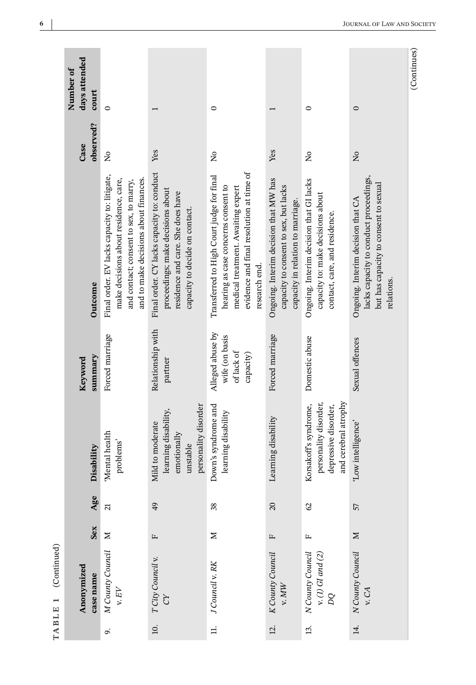|                        | Number of | days attended<br>court  | $\circ$                                                                                                                                                                  |                                                                                                                                                        | $\circ$                                                                                                                                                                             |                                                                                                                     | $\circ$                                                                                                       | $\circ$                                                                                                                            | (Continues) |
|------------------------|-----------|-------------------------|--------------------------------------------------------------------------------------------------------------------------------------------------------------------------|--------------------------------------------------------------------------------------------------------------------------------------------------------|-------------------------------------------------------------------------------------------------------------------------------------------------------------------------------------|---------------------------------------------------------------------------------------------------------------------|---------------------------------------------------------------------------------------------------------------|------------------------------------------------------------------------------------------------------------------------------------|-------------|
|                        |           | observed?<br>Case       | $\tilde{z}$                                                                                                                                                              | Yes                                                                                                                                                    | $\tilde{z}$                                                                                                                                                                         | Yes                                                                                                                 | $\frac{1}{2}$                                                                                                 | $\tilde{z}$                                                                                                                        |             |
|                        |           | Outcome                 | Final order. EV lacks capacity to: litigate,<br>and to make decisions about finances.<br>make decisions about residence, care,<br>and contact; consent to sex, to marry, | Final order. CY lacks capacity to: conduct<br>proceedings; make decisions about<br>residence and care. She does have<br>capacity to decide on contact. | evidence and final resolution at time of<br>Transferred to High Court judge for final<br>hearing as case concerns consent to<br>medical treatment. Awaiting expert<br>research end. | Ongoing. Interim decision that MW has<br>capacity to consent to sex, but lacks<br>capacity in relation to marriage. | Ongoing. Interim decision that GI lacks<br>capacity to: make decisions about<br>contact, care, and residence. | lacks capacity to conduct proceedings,<br>but has capacity to consent to sexual<br>Ongoing. Interim decision that CA<br>relations. |             |
|                        |           | summary<br>Keyword      | Forced marriage                                                                                                                                                          | Relationship with<br>partner                                                                                                                           | Alleged abuse by<br>wife (on basis<br>of lack of<br>capacity)                                                                                                                       | Forced marriage                                                                                                     | Domestic abuse                                                                                                | Sexual offences                                                                                                                    |             |
|                        |           | Disability              | 'Mental health<br>problems'                                                                                                                                              | personality disorder<br>learning disability,<br>Mild to moderate<br>emotionally<br>unstable                                                            | Down's syndrome and<br>learning disability                                                                                                                                          | Learning disability                                                                                                 | and cerebral atrophy<br>personality disorder,<br>Korsakoff's syndrome,<br>depressive disorder,                | 'Low intelligence'                                                                                                                 |             |
|                        |           | Age                     | $\overline{\mathcal{L}}$                                                                                                                                                 | 49                                                                                                                                                     | 38                                                                                                                                                                                  | $\overline{c}$                                                                                                      | $\mathcal{S}$                                                                                                 | 57                                                                                                                                 |             |
|                        |           | Sex                     | Σ                                                                                                                                                                        | $\mathbf{L}$                                                                                                                                           | $\geq$                                                                                                                                                                              | $\mathbf{L}$                                                                                                        | $\mathbf{r}$                                                                                                  | $\geq$                                                                                                                             |             |
| (Continued)<br>TABLE 1 |           | Anonymized<br>case name | M County Council<br>v. $\mathrm{E}V$                                                                                                                                     | T City Council v.<br>č                                                                                                                                 | J Council v. RK                                                                                                                                                                     | K County Council<br>v. MW                                                                                           | N County Council<br>v. $(1)$ GI and $(2)$<br>pq                                                               | N County Council<br>v.CA                                                                                                           |             |
|                        |           |                         | o,                                                                                                                                                                       | $\overline{10}$ .                                                                                                                                      | $\exists$                                                                                                                                                                           | $\overline{c}$                                                                                                      | 13.                                                                                                           | 14.                                                                                                                                |             |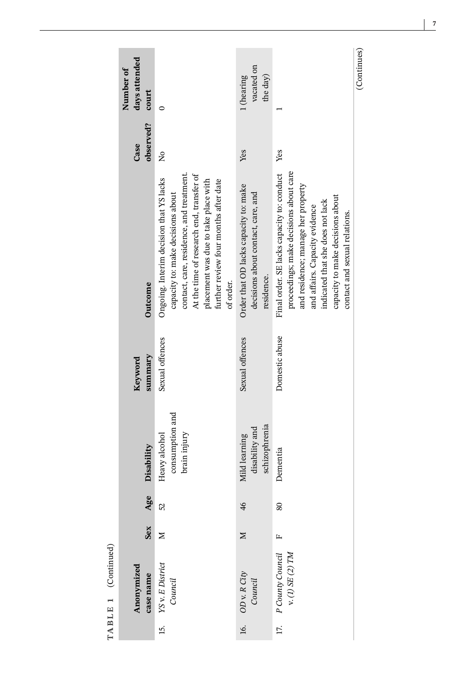|                     | days attended<br>Number of<br>court<br>observed?<br>Case | 0<br>$\tilde{z}$                                                                                                                                                                                                                                                   | vacated on<br>the day)<br>1 (hearing<br>Yes                                               | Yes                                                                                                                                                                                                                                                                   | (Continues) |
|---------------------|----------------------------------------------------------|--------------------------------------------------------------------------------------------------------------------------------------------------------------------------------------------------------------------------------------------------------------------|-------------------------------------------------------------------------------------------|-----------------------------------------------------------------------------------------------------------------------------------------------------------------------------------------------------------------------------------------------------------------------|-------------|
|                     | Outcome                                                  | contact, care, residence, and treatment.<br>At the time of research end, transfer of<br>Ongoing. Interim decision that YS lacks<br>placement was due to take place with<br>further review four months after date<br>capacity to: make decisions about<br>of order. | Order that OD lacks capacity to: make<br>decisions about contact, care, and<br>residence. | proceedings; make decisions about care<br>Final order. SE lacks capacity to: conduct<br>and residence; manage her property<br>capacity to make decisions about<br>indicated that she does not lack<br>and affairs. Capacity evidence<br>contact and sexual relations. |             |
|                     | summary<br>Keyword                                       | Sexual offences                                                                                                                                                                                                                                                    | Sexual offences                                                                           | Domestic abuse                                                                                                                                                                                                                                                        |             |
|                     | Disability                                               | consumption and<br>brain injury<br>Heavy alcohol                                                                                                                                                                                                                   | schizophrenia<br>disability and<br>Mild learning                                          | Dementia                                                                                                                                                                                                                                                              |             |
|                     | Age                                                      | 52                                                                                                                                                                                                                                                                 | $\frac{4}{6}$                                                                             | 80                                                                                                                                                                                                                                                                    |             |
|                     | Sex                                                      | Σ                                                                                                                                                                                                                                                                  | Σ                                                                                         | L,                                                                                                                                                                                                                                                                    |             |
| TABLE 1 (Continued) | Anonymized<br>case name                                  | YS v. E District<br>Council                                                                                                                                                                                                                                        | 16. OD v. R City<br>Council                                                               | P County Council<br>v. (1) SE (2) TM                                                                                                                                                                                                                                  |             |
|                     |                                                          | 15.                                                                                                                                                                                                                                                                |                                                                                           | 17.                                                                                                                                                                                                                                                                   |             |

**7**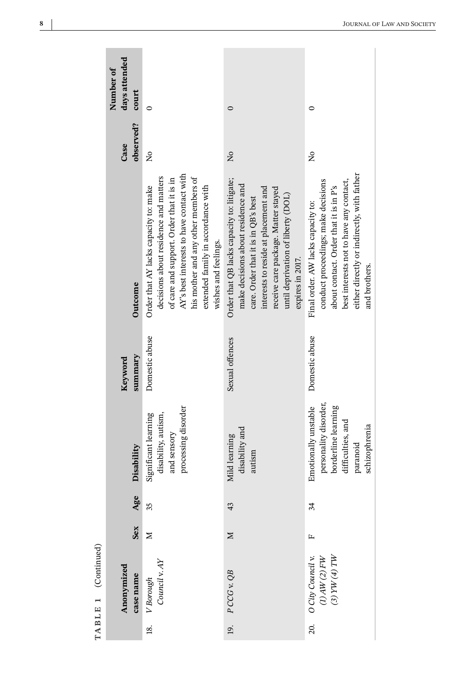|                       | days attended<br>Number of<br>court |                                                                                                                                                                                                                                                                             |                                                                                                                                                                                                                                                                  |                                                                                                                                                                                                                               |
|-----------------------|-------------------------------------|-----------------------------------------------------------------------------------------------------------------------------------------------------------------------------------------------------------------------------------------------------------------------------|------------------------------------------------------------------------------------------------------------------------------------------------------------------------------------------------------------------------------------------------------------------|-------------------------------------------------------------------------------------------------------------------------------------------------------------------------------------------------------------------------------|
|                       |                                     | $\circ$                                                                                                                                                                                                                                                                     | $\circ$                                                                                                                                                                                                                                                          | 0                                                                                                                                                                                                                             |
|                       | observed?<br>Case                   | $\frac{1}{2}$                                                                                                                                                                                                                                                               | $\tilde{z}$                                                                                                                                                                                                                                                      | $\frac{1}{2}$                                                                                                                                                                                                                 |
|                       | Outcome                             | AY's best interests to have contact with<br>his mother and any other members of<br>decisions about residence and matters<br>of care and support. Order that it is in<br>extended family in accordance with<br>Order that AY lacks capacity to: make<br>wishes and feelings. | Order that QB lacks capacity to: litigate;<br>make decisions about residence and<br>interests to reside at placement and<br>receive care package. Matter stayed<br>until deprivation of liberty (DOL)<br>care. Order that it is in QB's best<br>expires in 2017. | either directly or indirectly, with father<br>conduct proceedings; make decisions<br>best interests not to have any contact,<br>about contact. Order that it is in P's<br>Final order. AW lacks capacity to:<br>and brothers. |
|                       | summary<br>Keyword                  | Domestic abuse                                                                                                                                                                                                                                                              | Sexual offences                                                                                                                                                                                                                                                  | Domestic abuse                                                                                                                                                                                                                |
|                       | Disability                          | processing disorder<br>disability, autism,<br>Significant learning<br>and sensory                                                                                                                                                                                           | disability and<br>Mild learning<br>autism                                                                                                                                                                                                                        | personality disorder,<br>Emotionally unstable<br>borderline learning<br>difficulties, and<br>schizophrenia<br>paranoid                                                                                                        |
|                       | Age                                 | 35                                                                                                                                                                                                                                                                          | 43                                                                                                                                                                                                                                                               | 34                                                                                                                                                                                                                            |
|                       | Sex                                 | Z                                                                                                                                                                                                                                                                           | Σ                                                                                                                                                                                                                                                                | щ                                                                                                                                                                                                                             |
| $TABLE 1$ (Continued) | Anonymized<br>case name             | Council v. AY<br>V Borough                                                                                                                                                                                                                                                  | 19. $PCGG$ v. $QB$                                                                                                                                                                                                                                               | O City Council v.<br>$\begin{array}{c} (1)\,AW\,(2)\,FW \\ (3)\,YW\,(4)\,TW \end{array}$                                                                                                                                      |
|                       |                                     | $\overline{18}$ .                                                                                                                                                                                                                                                           |                                                                                                                                                                                                                                                                  | 20.                                                                                                                                                                                                                           |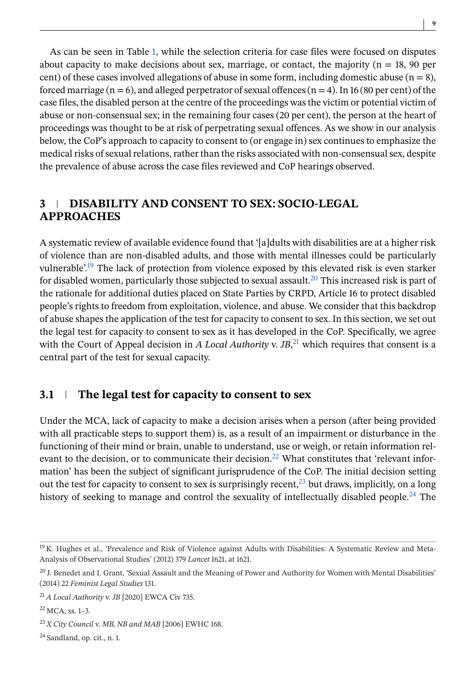As can be seen in Table [1,](#page-4-0) while the selection criteria for case files were focused on disputes about capacity to make decisions about sex, marriage, or contact, the majority ( $n = 18$ , 90 per cent) of these cases involved allegations of abuse in some form, including domestic abuse  $(n = 8)$ , forced marriage ( $n = 6$ ), and alleged perpetrator of sexual offences ( $n = 4$ ). In 16 (80 per cent) of the case files, the disabled person at the centre of the proceedings was the victim or potential victim of abuse or non-consensual sex; in the remaining four cases (20 per cent), the person at the heart of proceedings was thought to be at risk of perpetrating sexual offences. As we show in our analysis below, the CoP's approach to capacity to consent to (or engage in) sex continues to emphasize the medical risks of sexual relations, rather than the risks associated with non-consensual sex, despite the prevalence of abuse across the case files reviewed and CoP hearings observed.

## **3 DISABILITY AND CONSENT TO SEX: SOCIO-LEGAL APPROACHES**

A systematic review of available evidence found that '[a]dults with disabilities are at a higher risk of violence than are non-disabled adults, and those with mental illnesses could be particularly vulnerable'.19 The lack of protection from violence exposed by this elevated risk is even starker for disabled women, particularly those subjected to sexual assault.<sup>20</sup> This increased risk is part of the rationale for additional duties placed on State Parties by CRPD, Article 16 to protect disabled people's rights to freedom from exploitation, violence, and abuse. We consider that this backdrop of abuse shapes the application of the test for capacity to consent to sex. In this section, we set out the legal test for capacity to consent to sex as it has developed in the CoP. Specifically, we agree with the Court of Appeal decision in *A Local Authority* v. *JB*, <sup>21</sup> which requires that consent is a central part of the test for sexual capacity.

#### **3.1 The legal test for capacity to consent to sex**

Under the MCA, lack of capacity to make a decision arises when a person (after being provided with all practicable steps to support them) is, as a result of an impairment or disturbance in the functioning of their mind or brain, unable to understand, use or weigh, or retain information relevant to the decision, or to communicate their decision.<sup>22</sup> What constitutes that 'relevant information' has been the subject of significant jurisprudence of the CoP. The initial decision setting out the test for capacity to consent to sex is surprisingly recent, $^{23}$  but draws, implicitly, on a long history of seeking to manage and control the sexuality of intellectually disabled people.<sup>24</sup> The

<sup>&</sup>lt;sup>19</sup> K. Hughes et al., 'Prevalence and Risk of Violence against Adults with Disabilities: A Systematic Review and Meta-Analysis of Observational Studies' (2012) 379 *Lancet* 1621, at 1621.

 $20$  J. Benedet and I. Grant, 'Sexual Assault and the Meaning of Power and Authority for Women with Mental Disabilities' (2014) 22 *Feminist Legal Studies* 131.

<sup>21</sup> *A Local Authority* v. *JB* [2020] EWCA Civ 735.

<sup>22</sup> MCA, ss. 1–3.

<sup>23</sup> *X City Council* v. *MB, NB and MAB* [2006] EWHC 168.

<sup>24</sup> Sandland, op. cit., n. 1.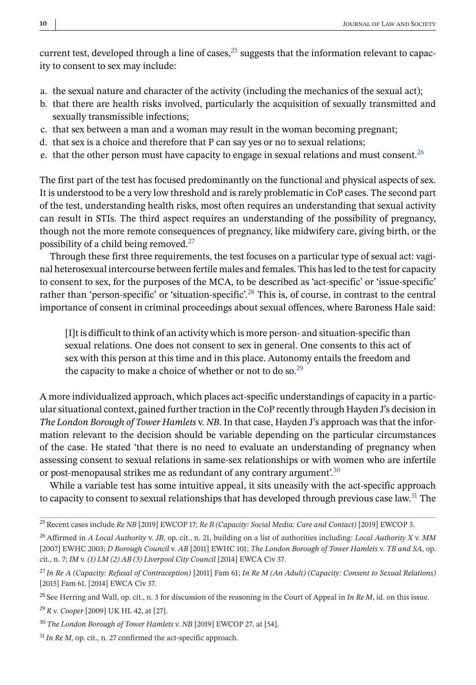current test, developed through a line of cases, $^{25}$  suggests that the information relevant to capacity to consent to sex may include:

- a. the sexual nature and character of the activity (including the mechanics of the sexual act);
- b. that there are health risks involved, particularly the acquisition of sexually transmitted and sexually transmissible infections;
- c. that sex between a man and a woman may result in the woman becoming pregnant;
- d. that sex is a choice and therefore that P can say yes or no to sexual relations;
- e. that the other person must have capacity to engage in sexual relations and must consent.<sup>26</sup>

The first part of the test has focused predominantly on the functional and physical aspects of sex. It is understood to be a very low threshold and is rarely problematic in CoP cases. The second part of the test, understanding health risks, most often requires an understanding that sexual activity can result in STIs. The third aspect requires an understanding of the possibility of pregnancy, though not the more remote consequences of pregnancy, like midwifery care, giving birth, or the possibility of a child being removed.27

Through these first three requirements, the test focuses on a particular type of sexual act: vaginal heterosexual intercourse between fertile males and females. This has led to the test for capacity to consent to sex, for the purposes of the MCA, to be described as 'act-specific' or 'issue-specific' rather than 'person-specific' or 'situation-specific'.28 This is, of course, in contrast to the central importance of consent in criminal proceedings about sexual offences, where Baroness Hale said:

[I]t is difficult to think of an activity which is more person- and situation-specific than sexual relations. One does not consent to sex in general. One consents to this act of sex with this person at this time and in this place. Autonomy entails the freedom and the capacity to make a choice of whether or not to do so.<sup>29</sup>

A more individualized approach, which places act-specific understandings of capacity in a particular situational context, gained further traction in the CoP recently through Hayden J's decision in *The London Borough of Tower Hamlets* v. *NB*. In that case, Hayden J's approach was that the information relevant to the decision should be variable depending on the particular circumstances of the case. He stated 'that there is no need to evaluate an understanding of pregnancy when assessing consent to sexual relations in same-sex relationships or with women who are infertile or post-menopausal strikes me as redundant of any contrary argument.<sup>30</sup>

While a variable test has some intuitive appeal, it sits uneasily with the act-specific approach to capacity to consent to sexual relationships that has developed through previous case law.<sup>31</sup> The

<sup>25</sup> Recent cases include *Re NB* [2019] EWCOP 17; *Re B (Capacity: Social Media: Care and Contact)* [2019] EWCOP 3.

<sup>26</sup> Affirmed in *A Local Authority* v. *JB*, op. cit., n. 21, building on a list of authorities including: *Local Authority X* v. *MM* [2007] EWHC 2003; *D Borough Council* v. *AB* [2011] EWHC 101; *The London Borough of Tower Hamlets* v. *TB and SA*, op. cit., n. 7; *IM* v. *(1) LM (2) AB (3) Liverpool City Council* [2014] EWCA Civ 37.

<sup>27</sup> *In Re A (Capacity: Refusal of Contraception)* [2011] Fam 61; *In Re M (An Adult) (Capacity: Consent to Sexual Relations)* [2015] Fam 61, [2014] EWCA Civ 37.

<sup>28</sup> See Herring and Wall, op. cit., n. 3 for discussion of the reasoning in the Court of Appeal in *In Re M*, id. on this issue.

<sup>29</sup> *R* v. *Cooper* [2009] UK HL 42, at [27].

<sup>30</sup> *The London Borough of Tower Hamlets* v. *NB* [2019] EWCOP 27, at [54].

<sup>31</sup> *In Re M*, op. cit., n. 27 confirmed the act-specific approach.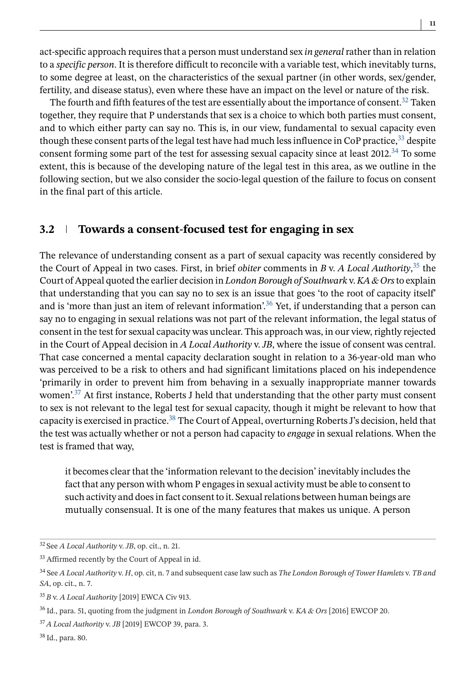act-specific approach requires that a person must understand sex *in general*rather than in relation to a *specific person*. It is therefore difficult to reconcile with a variable test, which inevitably turns, to some degree at least, on the characteristics of the sexual partner (in other words, sex/gender, fertility, and disease status), even where these have an impact on the level or nature of the risk.

The fourth and fifth features of the test are essentially about the importance of consent.<sup>32</sup> Taken together, they require that P understands that sex is a choice to which both parties must consent, and to which either party can say no. This is, in our view, fundamental to sexual capacity even though these consent parts of the legal test have had much less influence in CoP practice,<sup>33</sup> despite consent forming some part of the test for assessing sexual capacity since at least 2012.<sup>34</sup> To some extent, this is because of the developing nature of the legal test in this area, as we outline in the following section, but we also consider the socio-legal question of the failure to focus on consent in the final part of this article.

## **3.2 Towards a consent-focused test for engaging in sex**

The relevance of understanding consent as a part of sexual capacity was recently considered by the Court of Appeal in two cases. First, in brief *obiter* comments in *B* v. *A Local Authority*, <sup>35</sup> the Court of Appeal quoted the earlier decision in *London Borough of Southwark* v. *KA & Ors*to explain that understanding that you can say no to sex is an issue that goes 'to the root of capacity itself' and is 'more than just an item of relevant information'.36 Yet, if understanding that a person can say no to engaging in sexual relations was not part of the relevant information, the legal status of consent in the test for sexual capacity was unclear. This approach was, in our view, rightly rejected in the Court of Appeal decision in *A Local Authority* v. *JB*, where the issue of consent was central. That case concerned a mental capacity declaration sought in relation to a 36-year-old man who was perceived to be a risk to others and had significant limitations placed on his independence 'primarily in order to prevent him from behaving in a sexually inappropriate manner towards women'. $37$  At first instance, Roberts J held that understanding that the other party must consent to sex is not relevant to the legal test for sexual capacity, though it might be relevant to how that capacity is exercised in practice.<sup>38</sup> The Court of Appeal, overturning Roberts J's decision, held that the test was actually whether or not a person had capacity to *engage* in sexual relations. When the test is framed that way,

it becomes clear that the 'information relevant to the decision' inevitably includes the fact that any person with whom P engages in sexual activity must be able to consent to such activity and does in fact consent to it. Sexual relations between human beings are mutually consensual. It is one of the many features that makes us unique. A person

<sup>32</sup> See *A Local Authority* v. *JB*, op. cit., n. 21.

<sup>&</sup>lt;sup>33</sup> Affirmed recently by the Court of Appeal in id.

<sup>34</sup> See *A Local Authority* v. *H*, op. cit, n. 7 and subsequent case law such as *The London Borough of Tower Hamlets* v. *TB and SA*, op. cit., n. 7.

<sup>35</sup> *B* v. *A Local Authority* [2019] EWCA Civ 913.

<sup>36</sup> Id., para. 51, quoting from the judgment in *London Borough of Southwark* v. *KA & Ors* [2016] EWCOP 20.

<sup>37</sup> *A Local Authority* v. *JB* [2019] EWCOP 39, para. 3.

<sup>38</sup> Id., para. 80.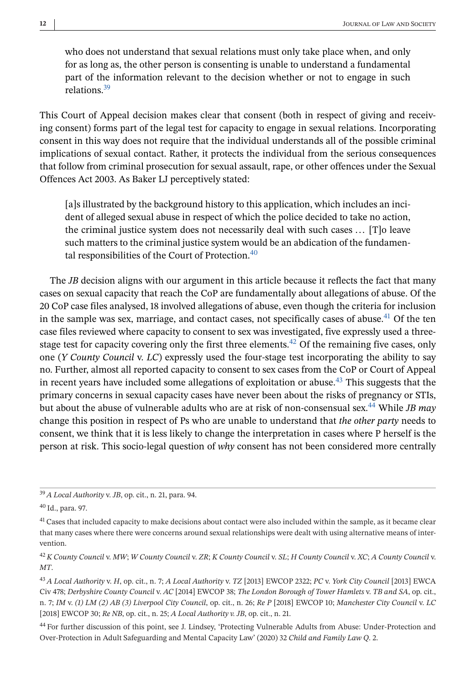who does not understand that sexual relations must only take place when, and only for as long as, the other person is consenting is unable to understand a fundamental part of the information relevant to the decision whether or not to engage in such relations<sup>39</sup>

This Court of Appeal decision makes clear that consent (both in respect of giving and receiving consent) forms part of the legal test for capacity to engage in sexual relations. Incorporating consent in this way does not require that the individual understands all of the possible criminal implications of sexual contact. Rather, it protects the individual from the serious consequences that follow from criminal prosecution for sexual assault, rape, or other offences under the Sexual Offences Act 2003. As Baker LJ perceptively stated:

[a]s illustrated by the background history to this application, which includes an incident of alleged sexual abuse in respect of which the police decided to take no action, the criminal justice system does not necessarily deal with such cases ... [T]o leave such matters to the criminal justice system would be an abdication of the fundamental responsibilities of the Court of Protection.<sup>40</sup>

The *JB* decision aligns with our argument in this article because it reflects the fact that many cases on sexual capacity that reach the CoP are fundamentally about allegations of abuse. Of the 20 CoP case files analysed, 18 involved allegations of abuse, even though the criteria for inclusion in the sample was sex, marriage, and contact cases, not specifically cases of abuse.<sup>41</sup> Of the ten case files reviewed where capacity to consent to sex was investigated, five expressly used a threestage test for capacity covering only the first three elements.<sup>42</sup> Of the remaining five cases, only one (*Y County Council* v. *LC*) expressly used the four-stage test incorporating the ability to say no. Further, almost all reported capacity to consent to sex cases from the CoP or Court of Appeal in recent years have included some allegations of exploitation or abuse.<sup>43</sup> This suggests that the primary concerns in sexual capacity cases have never been about the risks of pregnancy or STIs, but about the abuse of vulnerable adults who are at risk of non-consensual sex.44 While *JB may* change this position in respect of Ps who are unable to understand that *the other party* needs to consent, we think that it is less likely to change the interpretation in cases where P herself is the person at risk. This socio-legal question of *why* consent has not been considered more centrally

<sup>39</sup> *A Local Authority* v. *JB*, op. cit., n. 21, para. 94.

<sup>40</sup> Id., para. 97.

<sup>&</sup>lt;sup>41</sup> Cases that included capacity to make decisions about contact were also included within the sample, as it became clear that many cases where there were concerns around sexual relationships were dealt with using alternative means of intervention.

<sup>42</sup> *K County Council* v. *MW*; *W County Council* v. *ZR*; *K County Council* v. *SL*; *H County Council* v. *XC*; *A County Council* v. *MT*.

<sup>43</sup> *A Local Authority* v. *H*, op. cit., n. 7; *A Local Authority* v. *TZ* [2013] EWCOP 2322; *PC* v. *York City Council* [2013] EWCA Civ 478; *Derbyshire County Council* v. *AC* [2014] EWCOP 38; *The London Borough of Tower Hamlets* v. *TB and SA*, op. cit., n. 7; *IM* v. *(1) LM (2) AB (3) Liverpool City Council*, op. cit., n. 26; *Re P* [2018] EWCOP 10; *Manchester City Council* v. *LC* [2018] EWCOP 30; *Re NB*, op. cit., n. 25; *A Local Authority v. JB*, op. cit., n. 21.

<sup>44</sup> For further discussion of this point, see J. Lindsey, 'Protecting Vulnerable Adults from Abuse: Under-Protection and Over-Protection in Adult Safeguarding and Mental Capacity Law' (2020) 32 *Child and Family Law Q*. 2.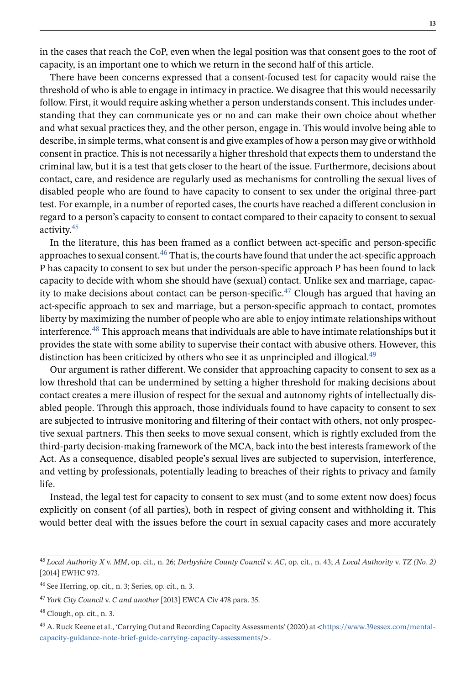in the cases that reach the CoP, even when the legal position was that consent goes to the root of capacity, is an important one to which we return in the second half of this article.

There have been concerns expressed that a consent-focused test for capacity would raise the threshold of who is able to engage in intimacy in practice. We disagree that this would necessarily follow. First, it would require asking whether a person understands consent. This includes understanding that they can communicate yes or no and can make their own choice about whether and what sexual practices they, and the other person, engage in. This would involve being able to describe, in simple terms, what consent is and give examples of how a person may give or withhold consent in practice. This is not necessarily a higher threshold that expects them to understand the criminal law, but it is a test that gets closer to the heart of the issue. Furthermore, decisions about contact, care, and residence are regularly used as mechanisms for controlling the sexual lives of disabled people who are found to have capacity to consent to sex under the original three-part test. For example, in a number of reported cases, the courts have reached a different conclusion in regard to a person's capacity to consent to contact compared to their capacity to consent to sexual activity.45

In the literature, this has been framed as a conflict between act-specific and person-specific approaches to sexual consent.<sup>46</sup> That is, the courts have found that under the act-specific approach P has capacity to consent to sex but under the person-specific approach P has been found to lack capacity to decide with whom she should have (sexual) contact. Unlike sex and marriage, capacity to make decisions about contact can be person-specific.<sup>47</sup> Clough has argued that having an act-specific approach to sex and marriage, but a person-specific approach to contact, promotes liberty by maximizing the number of people who are able to enjoy intimate relationships without interference.48 This approach means that individuals are able to have intimate relationships but it provides the state with some ability to supervise their contact with abusive others. However, this distinction has been criticized by others who see it as unprincipled and illogical.<sup>49</sup>

Our argument is rather different. We consider that approaching capacity to consent to sex as a low threshold that can be undermined by setting a higher threshold for making decisions about contact creates a mere illusion of respect for the sexual and autonomy rights of intellectually disabled people. Through this approach, those individuals found to have capacity to consent to sex are subjected to intrusive monitoring and filtering of their contact with others, not only prospective sexual partners. This then seeks to move sexual consent, which is rightly excluded from the third-party decision-making framework of the MCA, back into the best interests framework of the Act. As a consequence, disabled people's sexual lives are subjected to supervision, interference, and vetting by professionals, potentially leading to breaches of their rights to privacy and family life.

Instead, the legal test for capacity to consent to sex must (and to some extent now does) focus explicitly on consent (of all parties), both in respect of giving consent and withholding it. This would better deal with the issues before the court in sexual capacity cases and more accurately

<sup>45</sup> *Local Authority X* v. *MM*, op. cit., n. 26; *Derbyshire County Council* v. *AC*, op. cit., n. 43; *A Local Authority* v. *TZ (No. 2)* [2014] EWHC 973.

<sup>46</sup> See Herring, op. cit., n. 3; Series, op. cit., n. 3.

<sup>47</sup> *York City Council* v. *C and another* [2013] EWCA Civ 478 para. 35.

 $48$  Clough, op. cit., n. 3.

<sup>49</sup> A. Ruck Keene et al., 'Carrying Out and Recording Capacity Assessments' (2020) at <[https://www.39essex.com/mental](https://www.39essex.com/mental-capacity-guidance-note-brief-guide-carrying-capacity-assessments)[capacity-guidance-note-brief-guide-carrying-capacity-assessments/](https://www.39essex.com/mental-capacity-guidance-note-brief-guide-carrying-capacity-assessments)>.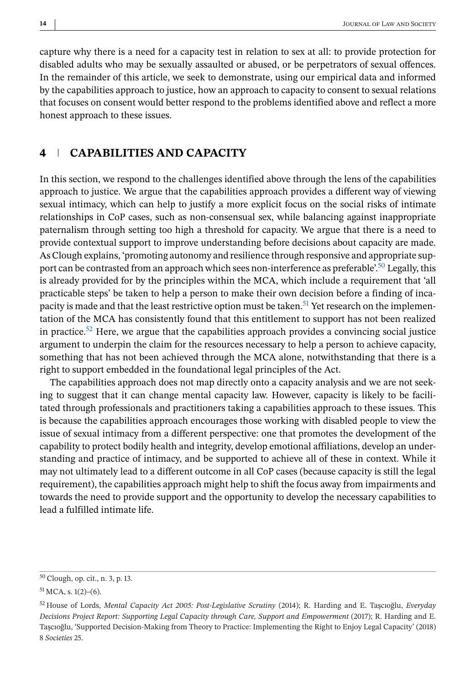capture why there is a need for a capacity test in relation to sex at all: to provide protection for disabled adults who may be sexually assaulted or abused, or be perpetrators of sexual offences. In the remainder of this article, we seek to demonstrate, using our empirical data and informed by the capabilities approach to justice, how an approach to capacity to consent to sexual relations that focuses on consent would better respond to the problems identified above and reflect a more honest approach to these issues.

## **4 CAPABILITIES AND CAPACITY**

In this section, we respond to the challenges identified above through the lens of the capabilities approach to justice. We argue that the capabilities approach provides a different way of viewing sexual intimacy, which can help to justify a more explicit focus on the social risks of intimate relationships in CoP cases, such as non-consensual sex, while balancing against inappropriate paternalism through setting too high a threshold for capacity. We argue that there is a need to provide contextual support to improve understanding before decisions about capacity are made. As Clough explains, 'promoting autonomy and resilience through responsive and appropriate support can be contrasted from an approach which sees non-interference as preferable.<sup>50</sup> Legally, this is already provided for by the principles within the MCA, which include a requirement that 'all practicable steps' be taken to help a person to make their own decision before a finding of incapacity is made and that the least restrictive option must be taken.<sup>51</sup> Yet research on the implementation of the MCA has consistently found that this entitlement to support has not been realized in practice.<sup>52</sup> Here, we argue that the capabilities approach provides a convincing social justice argument to underpin the claim for the resources necessary to help a person to achieve capacity, something that has not been achieved through the MCA alone, notwithstanding that there is a right to support embedded in the foundational legal principles of the Act.

The capabilities approach does not map directly onto a capacity analysis and we are not seeking to suggest that it can change mental capacity law. However, capacity is likely to be facilitated through professionals and practitioners taking a capabilities approach to these issues. This is because the capabilities approach encourages those working with disabled people to view the issue of sexual intimacy from a different perspective: one that promotes the development of the capability to protect bodily health and integrity, develop emotional affiliations, develop an understanding and practice of intimacy, and be supported to achieve all of these in context. While it may not ultimately lead to a different outcome in all CoP cases (because capacity is still the legal requirement), the capabilities approach might help to shift the focus away from impairments and towards the need to provide support and the opportunity to develop the necessary capabilities to lead a fulfilled intimate life.

<sup>50</sup> Clough, op. cit., n. 3, p. 13.

 $51$  MCA, s. 1(2)–(6).

<sup>52</sup> House of Lords, *Mental Capacity Act 2005: Post-Legislative Scrutiny* (2014); R. Harding and E. Taşcıoğlu, *Everyday Decisions Project Report: Supporting Legal Capacity through Care, Support and Empowerment* (2017); R. Harding and E. Taşcıoğlu, 'Supported Decision-Making from Theory to Practice: Implementing the Right to Enjoy Legal Capacity' (2018) 8 *Societies* 25.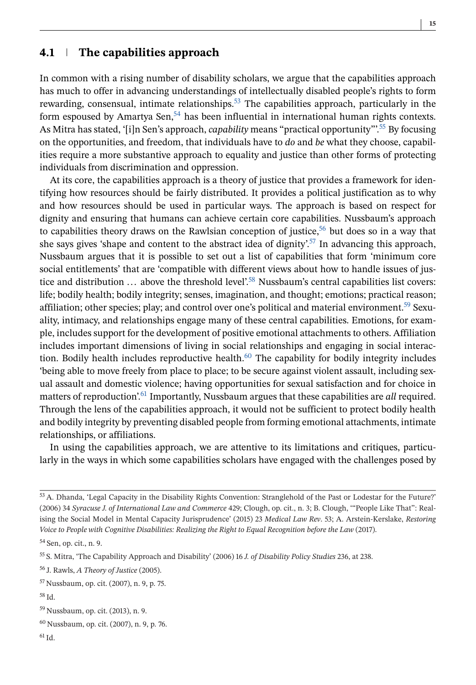# **4.1 The capabilities approach**

In common with a rising number of disability scholars, we argue that the capabilities approach has much to offer in advancing understandings of intellectually disabled people's rights to form rewarding, consensual, intimate relationships.<sup>53</sup> The capabilities approach, particularly in the form espoused by Amartya Sen,  $54$  has been influential in international human rights contexts. As Mitra has stated, '[i]n Sen's approach, *capability* means "practical opportunity"<sup>55</sup> By focusing on the opportunities, and freedom, that individuals have to *do* and *be* what they choose, capabilities require a more substantive approach to equality and justice than other forms of protecting individuals from discrimination and oppression.

At its core, the capabilities approach is a theory of justice that provides a framework for identifying how resources should be fairly distributed. It provides a political justification as to why and how resources should be used in particular ways. The approach is based on respect for dignity and ensuring that humans can achieve certain core capabilities. Nussbaum's approach to capabilities theory draws on the Rawlsian conception of justice, $56$  but does so in a way that she says gives 'shape and content to the abstract idea of dignity'.<sup>57</sup> In advancing this approach, Nussbaum argues that it is possible to set out a list of capabilities that form 'minimum core social entitlements' that are 'compatible with different views about how to handle issues of justice and distribution  $\ldots$  above the threshold level'.<sup>58</sup> Nussbaum's central capabilities list covers: life; bodily health; bodily integrity; senses, imagination, and thought; emotions; practical reason; affiliation; other species; play; and control over one's political and material environment.<sup>59</sup> Sexuality, intimacy, and relationships engage many of these central capabilities. Emotions, for example, includes support for the development of positive emotional attachments to others. Affiliation includes important dimensions of living in social relationships and engaging in social interaction. Bodily health includes reproductive health. $60$  The capability for bodily integrity includes 'being able to move freely from place to place; to be secure against violent assault, including sexual assault and domestic violence; having opportunities for sexual satisfaction and for choice in matters of reproduction'.<sup>61</sup> Importantly, Nussbaum argues that these capabilities are *all* required. Through the lens of the capabilities approach, it would not be sufficient to protect bodily health and bodily integrity by preventing disabled people from forming emotional attachments, intimate relationships, or affiliations.

In using the capabilities approach, we are attentive to its limitations and critiques, particularly in the ways in which some capabilities scholars have engaged with the challenges posed by

<sup>58</sup> Id.

 $61$  Id.

<sup>53</sup> A. Dhanda, 'Legal Capacity in the Disability Rights Convention: Stranglehold of the Past or Lodestar for the Future?' (2006) 34 *Syracuse J. of International Law and Commerce* 429; Clough, op. cit., n. 3; B. Clough, '"People Like That": Realising the Social Model in Mental Capacity Jurisprudence' (2015) 23 *Medical Law Rev*. 53; A. Arstein-Kerslake, *Restoring Voice to People with Cognitive Disabilities: Realizing the Right to Equal Recognition before the Law* (2017).

<sup>54</sup> Sen, op. cit., n. 9.

<sup>55</sup> S. Mitra, 'The Capability Approach and Disability' (2006) 16 *J. of Disability Policy Studies* 236, at 238.

<sup>56</sup> J. Rawls, *A Theory of Justice* (2005).

<sup>57</sup> Nussbaum, op. cit. (2007), n. 9, p. 75.

<sup>59</sup> Nussbaum, op. cit. (2013), n. 9.

<sup>60</sup> Nussbaum, op. cit. (2007), n. 9, p. 76.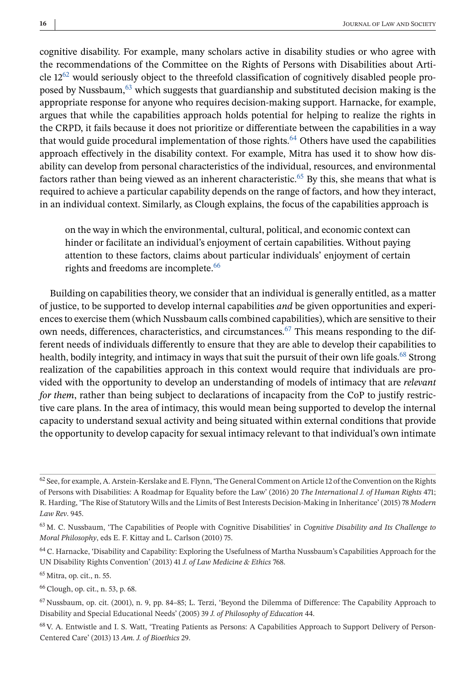cognitive disability. For example, many scholars active in disability studies or who agree with the recommendations of the Committee on the Rights of Persons with Disabilities about Article  $12^{62}$  would seriously object to the threefold classification of cognitively disabled people proposed by Nussbaum,  $63$  which suggests that guardianship and substituted decision making is the appropriate response for anyone who requires decision-making support. Harnacke, for example, argues that while the capabilities approach holds potential for helping to realize the rights in the CRPD, it fails because it does not prioritize or differentiate between the capabilities in a way that would guide procedural implementation of those rights.<sup>64</sup> Others have used the capabilities approach effectively in the disability context. For example, Mitra has used it to show how disability can develop from personal characteristics of the individual, resources, and environmental factors rather than being viewed as an inherent characteristic.<sup>65</sup> By this, she means that what is required to achieve a particular capability depends on the range of factors, and how they interact, in an individual context. Similarly, as Clough explains, the focus of the capabilities approach is

on the way in which the environmental, cultural, political, and economic context can hinder or facilitate an individual's enjoyment of certain capabilities. Without paying attention to these factors, claims about particular individuals' enjoyment of certain rights and freedoms are incomplete.<sup>66</sup>

Building on capabilities theory, we consider that an individual is generally entitled, as a matter of justice, to be supported to develop internal capabilities *and* be given opportunities and experiences to exercise them (which Nussbaum calls combined capabilities), which are sensitive to their own needs, differences, characteristics, and circumstances.<sup>67</sup> This means responding to the different needs of individuals differently to ensure that they are able to develop their capabilities to health, bodily integrity, and intimacy in ways that suit the pursuit of their own life goals.<sup>68</sup> Strong realization of the capabilities approach in this context would require that individuals are provided with the opportunity to develop an understanding of models of intimacy that are *relevant for them*, rather than being subject to declarations of incapacity from the CoP to justify restrictive care plans. In the area of intimacy, this would mean being supported to develop the internal capacity to understand sexual activity and being situated within external conditions that provide the opportunity to develop capacity for sexual intimacy relevant to that individual's own intimate

 $62$  See, for example, A. Arstein-Kerslake and E. Flynn, 'The General Comment on Article 12 of the Convention on the Rights of Persons with Disabilities: A Roadmap for Equality before the Law' (2016) 20 *The International J. of Human Rights* 471; R. Harding, 'The Rise of Statutory Wills and the Limits of Best Interests Decision-Making in Inheritance' (2015) 78 *Modern Law Rev*. 945.

<sup>63</sup> M. C. Nussbaum, 'The Capabilities of People with Cognitive Disabilities' in *Cognitive Disability and Its Challenge to Moral Philosophy*, eds E. F. Kittay and L. Carlson (2010) 75.

<sup>64</sup> C. Harnacke, 'Disability and Capability: Exploring the Usefulness of Martha Nussbaum's Capabilities Approach for the UN Disability Rights Convention' (2013) 41 *J. of Law Medicine & Ethics* 768.

<sup>65</sup> Mitra, op. cit., n. 55.

<sup>66</sup> Clough, op. cit., n. 53, p. 68.

 $67$  Nussbaum, op. cit. (2001), n. 9, pp. 84–85; L. Terzi, 'Beyond the Dilemma of Difference: The Capability Approach to Disability and Special Educational Needs' (2005) 39 *J. of Philosophy of Education* 44.

<sup>68</sup> V. A. Entwistle and I. S. Watt, 'Treating Patients as Persons: A Capabilities Approach to Support Delivery of Person-Centered Care' (2013) 13 *Am. J. of Bioethics* 29.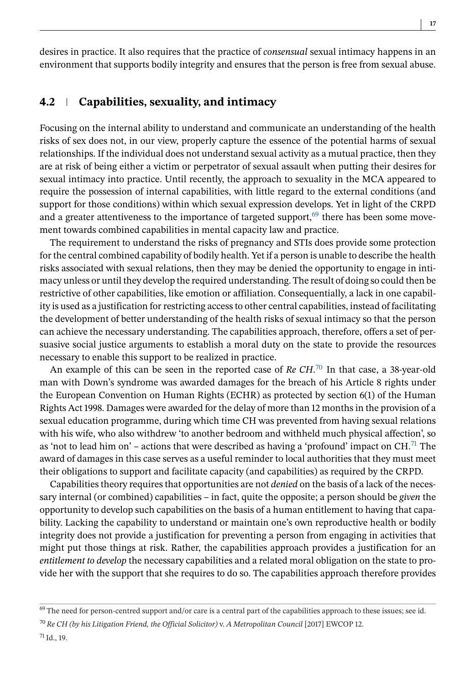desires in practice. It also requires that the practice of *consensual* sexual intimacy happens in an environment that supports bodily integrity and ensures that the person is free from sexual abuse.

#### **4.2 Capabilities, sexuality, and intimacy**

Focusing on the internal ability to understand and communicate an understanding of the health risks of sex does not, in our view, properly capture the essence of the potential harms of sexual relationships. If the individual does not understand sexual activity as a mutual practice, then they are at risk of being either a victim or perpetrator of sexual assault when putting their desires for sexual intimacy into practice. Until recently, the approach to sexuality in the MCA appeared to require the possession of internal capabilities, with little regard to the external conditions (and support for those conditions) within which sexual expression develops. Yet in light of the CRPD and a greater attentiveness to the importance of targeted support, $69$  there has been some movement towards combined capabilities in mental capacity law and practice.

The requirement to understand the risks of pregnancy and STIs does provide some protection for the central combined capability of bodily health. Yet if a person is unable to describe the health risks associated with sexual relations, then they may be denied the opportunity to engage in intimacy unless or until they develop the required understanding. The result of doing so could then be restrictive of other capabilities, like emotion or affiliation. Consequentially, a lack in one capability is used as a justification for restricting access to other central capabilities, instead of facilitating the development of better understanding of the health risks of sexual intimacy so that the person can achieve the necessary understanding. The capabilities approach, therefore, offers a set of persuasive social justice arguments to establish a moral duty on the state to provide the resources necessary to enable this support to be realized in practice.

An example of this can be seen in the reported case of *Re CH*. <sup>70</sup> In that case, a 38-year-old man with Down's syndrome was awarded damages for the breach of his Article 8 rights under the European Convention on Human Rights (ECHR) as protected by section 6(1) of the Human Rights Act 1998. Damages were awarded for the delay of more than 12 months in the provision of a sexual education programme, during which time CH was prevented from having sexual relations with his wife, who also withdrew 'to another bedroom and withheld much physical affection', so as 'not to lead him on' – actions that were described as having a 'profound' impact on  $CH<sup>71</sup>$  The award of damages in this case serves as a useful reminder to local authorities that they must meet their obligations to support and facilitate capacity (and capabilities) as required by the CRPD.

Capabilities theory requires that opportunities are not *denied* on the basis of a lack of the necessary internal (or combined) capabilities – in fact, quite the opposite; a person should be *given* the opportunity to develop such capabilities on the basis of a human entitlement to having that capability. Lacking the capability to understand or maintain one's own reproductive health or bodily integrity does not provide a justification for preventing a person from engaging in activities that might put those things at risk. Rather, the capabilities approach provides a justification for an *entitlement to develop* the necessary capabilities and a related moral obligation on the state to provide her with the support that she requires to do so. The capabilities approach therefore provides

 $69$  The need for person-centred support and/or care is a central part of the capabilities approach to these issues; see id.

<sup>70</sup> *Re CH (by his Litigation Friend, the Official Solicitor)* v. *A Metropolitan Council* [2017] EWCOP 12.

 $71$  Id., 19.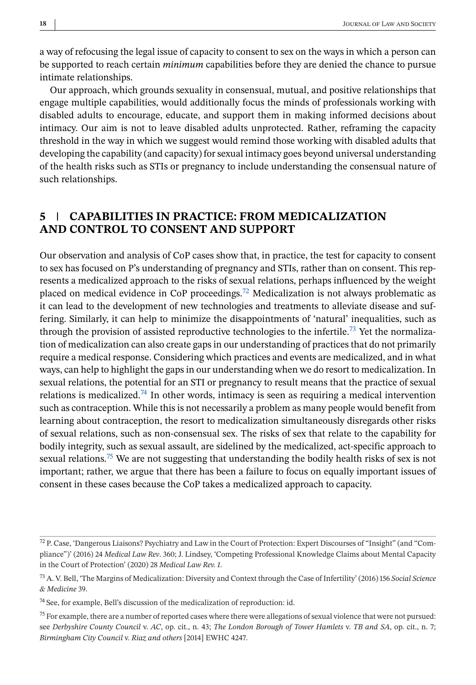a way of refocusing the legal issue of capacity to consent to sex on the ways in which a person can be supported to reach certain *minimum* capabilities before they are denied the chance to pursue intimate relationships.

Our approach, which grounds sexuality in consensual, mutual, and positive relationships that engage multiple capabilities, would additionally focus the minds of professionals working with disabled adults to encourage, educate, and support them in making informed decisions about intimacy. Our aim is not to leave disabled adults unprotected. Rather, reframing the capacity threshold in the way in which we suggest would remind those working with disabled adults that developing the capability (and capacity) for sexual intimacy goes beyond universal understanding of the health risks such as STIs or pregnancy to include understanding the consensual nature of such relationships.

## **5 CAPABILITIES IN PRACTICE: FROM MEDICALIZATION AND CONTROL TO CONSENT AND SUPPORT**

Our observation and analysis of CoP cases show that, in practice, the test for capacity to consent to sex has focused on P's understanding of pregnancy and STIs, rather than on consent. This represents a medicalized approach to the risks of sexual relations, perhaps influenced by the weight placed on medical evidence in CoP proceedings.<sup>72</sup> Medicalization is not always problematic as it can lead to the development of new technologies and treatments to alleviate disease and suffering. Similarly, it can help to minimize the disappointments of 'natural' inequalities, such as through the provision of assisted reproductive technologies to the infertile.<sup>73</sup> Yet the normalization of medicalization can also create gaps in our understanding of practices that do not primarily require a medical response. Considering which practices and events are medicalized, and in what ways, can help to highlight the gaps in our understanding when we do resort to medicalization. In sexual relations, the potential for an STI or pregnancy to result means that the practice of sexual relations is medicalized.<sup>74</sup> In other words, intimacy is seen as requiring a medical intervention such as contraception. While this is not necessarily a problem as many people would benefit from learning about contraception, the resort to medicalization simultaneously disregards other risks of sexual relations, such as non-consensual sex. The risks of sex that relate to the capability for bodily integrity, such as sexual assault, are sidelined by the medicalized, act-specific approach to sexual relations.<sup>75</sup> We are not suggesting that understanding the bodily health risks of sex is not important; rather, we argue that there has been a failure to focus on equally important issues of consent in these cases because the CoP takes a medicalized approach to capacity.

<sup>72</sup> P. Case, 'Dangerous Liaisons? Psychiatry and Law in the Court of Protection: Expert Discourses of "Insight" (and "Compliance")' (2016) 24 *Medical Law Rev*. 360; J. Lindsey, 'Competing Professional Knowledge Claims about Mental Capacity in the Court of Protection' (2020) 28 *Medical Law Rev. 1*.

<sup>73</sup> A. V. Bell, 'The Margins of Medicalization: Diversity and Context through the Case of Infertility' (2016) 156 *Social Science & Medicine* 39.

 $74$  See, for example, Bell's discussion of the medicalization of reproduction: id.

 $<sup>75</sup>$  For example, there are a number of reported cases where there were allegations of sexual violence that were not pursued:</sup> see *Derbyshire County Council* v. *AC*, op. cit., n. 43; *The London Borough of Tower Hamlets* v. *TB and SA*, op. cit., n. 7; *Birmingham City Council* v. *Riaz and others* [2014] EWHC 4247.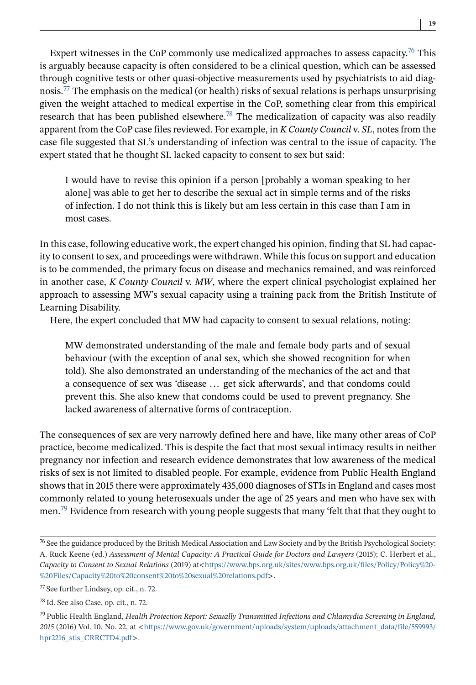Expert witnesses in the CoP commonly use medicalized approaches to assess capacity.<sup>76</sup> This is arguably because capacity is often considered to be a clinical question, which can be assessed through cognitive tests or other quasi-objective measurements used by psychiatrists to aid diagnosis.<sup>77</sup> The emphasis on the medical (or health) risks of sexual relations is perhaps unsurprising given the weight attached to medical expertise in the CoP, something clear from this empirical research that has been published elsewhere.<sup>78</sup> The medicalization of capacity was also readily apparent from the CoP case files reviewed. For example, in *K County Council* v. *SL*, notes from the case file suggested that SL's understanding of infection was central to the issue of capacity. The expert stated that he thought SL lacked capacity to consent to sex but said:

I would have to revise this opinion if a person [probably a woman speaking to her alone] was able to get her to describe the sexual act in simple terms and of the risks of infection. I do not think this is likely but am less certain in this case than I am in most cases.

In this case, following educative work, the expert changed his opinion, finding that SL had capacity to consent to sex, and proceedings were withdrawn. While this focus on support and education is to be commended, the primary focus on disease and mechanics remained, and was reinforced in another case, *K County Council* v. *MW*, where the expert clinical psychologist explained her approach to assessing MW's sexual capacity using a training pack from the British Institute of Learning Disability.

Here, the expert concluded that MW had capacity to consent to sexual relations, noting:

MW demonstrated understanding of the male and female body parts and of sexual behaviour (with the exception of anal sex, which she showed recognition for when told). She also demonstrated an understanding of the mechanics of the act and that a consequence of sex was 'disease ... get sick afterwards', and that condoms could prevent this. She also knew that condoms could be used to prevent pregnancy. She lacked awareness of alternative forms of contraception.

The consequences of sex are very narrowly defined here and have, like many other areas of CoP practice, become medicalized. This is despite the fact that most sexual intimacy results in neither pregnancy nor infection and research evidence demonstrates that low awareness of the medical risks of sex is not limited to disabled people. For example, evidence from Public Health England shows that in 2015 there were approximately 435,000 diagnoses of STIs in England and cases most commonly related to young heterosexuals under the age of 25 years and men who have sex with men.<sup>79</sup> Evidence from research with young people suggests that many 'felt that that they ought to

<sup>&</sup>lt;sup>76</sup> See the guidance produced by the British Medical Association and Law Society and by the British Psychological Society: A. Ruck Keene (ed.) *Assessment of Mental Capacity: A Practical Guide for Doctors and Lawyers* (2015); C. Herbert et al., *Capacity to Consent to Sexual Relations* (2019) at<[https://www.bps.org.uk/sites/www.bps.org.uk/files/Policy/Policy%20-](https://www.bps.org.uk/sites/www.bps.org.uk/files/Policy/Policy%20-%20Files/Capacity%20to%20consent%20to%20sexual%20relations.pdf) [%20Files/Capacity%20to%20consent%20to%20sexual%20relations.pdf](https://www.bps.org.uk/sites/www.bps.org.uk/files/Policy/Policy%20-%20Files/Capacity%20to%20consent%20to%20sexual%20relations.pdf)>.

<sup>77</sup> See further Lindsey, op. cit., n. 72.

<sup>78</sup> Id. See also Case, op. cit., n. 72.

<sup>79</sup> Public Health England, *Health Protection Report: Sexually Transmitted Infections and Chlamydia Screening in England, 2015* (2016) Vol. 10, No. 22, at <[https://www.gov.uk/government/uploads/system/uploads/attachment\\_data/file/559993/](https://www.gov.uk/government/uploads/system/uploads/attachment_data/file/559993/hpr2216_stis_CRRCTD4.pdf) [hpr2216\\_stis\\_CRRCTD4.pdf](https://www.gov.uk/government/uploads/system/uploads/attachment_data/file/559993/hpr2216_stis_CRRCTD4.pdf)>.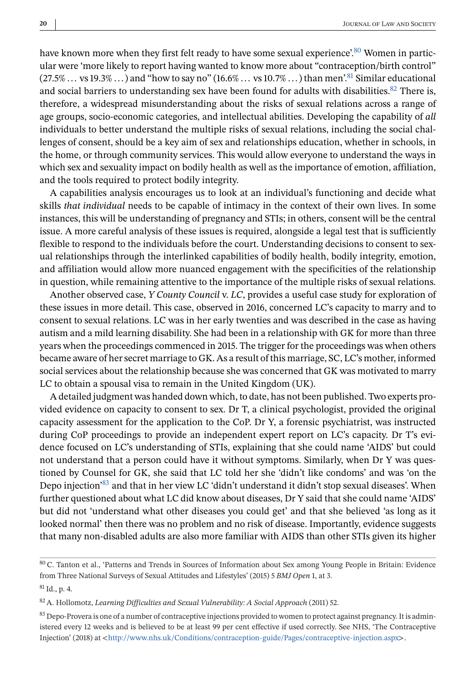have known more when they first felt ready to have some sexual experience'.<sup>80</sup> Women in particular were 'more likely to report having wanted to know more about "contraception/birth control"  $(27.5\%...$  vs  $19.3\%...$ ) and "how to say no"  $(16.6\%...$  vs  $10.7\%...$ ) than men'.<sup>81</sup> Similar educational and social barriers to understanding sex have been found for adults with disabilities. $82$  There is, therefore, a widespread misunderstanding about the risks of sexual relations across a range of age groups, socio-economic categories, and intellectual abilities. Developing the capability of *all* individuals to better understand the multiple risks of sexual relations, including the social challenges of consent, should be a key aim of sex and relationships education, whether in schools, in the home, or through community services. This would allow everyone to understand the ways in which sex and sexuality impact on bodily health as well as the importance of emotion, affiliation, and the tools required to protect bodily integrity.

A capabilities analysis encourages us to look at an individual's functioning and decide what skills *that individual* needs to be capable of intimacy in the context of their own lives. In some instances, this will be understanding of pregnancy and STIs; in others, consent will be the central issue. A more careful analysis of these issues is required, alongside a legal test that is sufficiently flexible to respond to the individuals before the court. Understanding decisions to consent to sexual relationships through the interlinked capabilities of bodily health, bodily integrity, emotion, and affiliation would allow more nuanced engagement with the specificities of the relationship in question, while remaining attentive to the importance of the multiple risks of sexual relations.

Another observed case, *Y County Council* v. *LC*, provides a useful case study for exploration of these issues in more detail. This case, observed in 2016, concerned LC's capacity to marry and to consent to sexual relations. LC was in her early twenties and was described in the case as having autism and a mild learning disability. She had been in a relationship with GK for more than three years when the proceedings commenced in 2015. The trigger for the proceedings was when others became aware of her secret marriage to GK. As a result of this marriage, SC, LC's mother, informed social services about the relationship because she was concerned that GK was motivated to marry LC to obtain a spousal visa to remain in the United Kingdom (UK).

A detailed judgment was handed down which, to date, has not been published. Two experts provided evidence on capacity to consent to sex. Dr T, a clinical psychologist, provided the original capacity assessment for the application to the CoP. Dr Y, a forensic psychiatrist, was instructed during CoP proceedings to provide an independent expert report on LC's capacity. Dr T's evidence focused on LC's understanding of STIs, explaining that she could name 'AIDS' but could not understand that a person could have it without symptoms. Similarly, when Dr Y was questioned by Counsel for GK, she said that LC told her she 'didn't like condoms' and was 'on the Depo injection'83 and that in her view LC 'didn't understand it didn't stop sexual diseases'. When further questioned about what LC did know about diseases, Dr Y said that she could name 'AIDS' but did not 'understand what other diseases you could get' and that she believed 'as long as it looked normal' then there was no problem and no risk of disease. Importantly, evidence suggests that many non-disabled adults are also more familiar with AIDS than other STIs given its higher

<sup>80</sup> C. Tanton et al., 'Patterns and Trends in Sources of Information about Sex among Young People in Britain: Evidence from Three National Surveys of Sexual Attitudes and Lifestyles' (2015) 5 *BMJ Open* 1, at 3.

 ${}^{81}$  Id., p. 4.

<sup>82</sup> A. Hollomotz, *Learning Difficulties and Sexual Vulnerability: A Social Approach* (2011) 52.

<sup>&</sup>lt;sup>83</sup> Depo-Provera is one of a number of contraceptive injections provided to women to protect against pregnancy. It is administered every 12 weeks and is believed to be at least 99 per cent effective if used correctly. See NHS, 'The Contraceptive Injection' (2018) at <<http://www.nhs.uk/Conditions/contraception-guide/Pages/contraceptive-injection.aspx>>.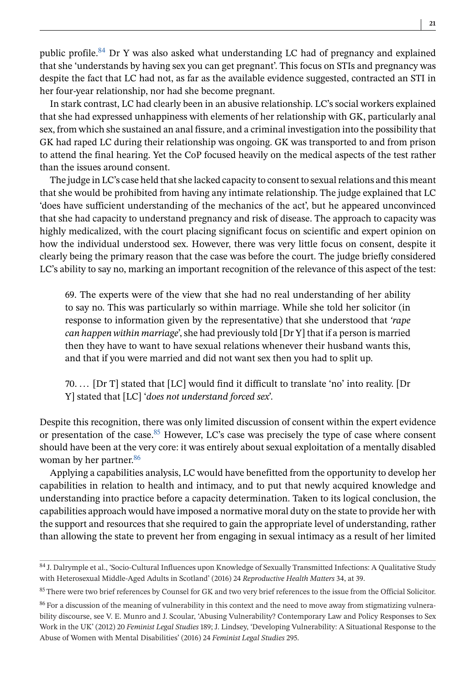public profile.<sup>84</sup> Dr Y was also asked what understanding LC had of pregnancy and explained that she 'understands by having sex you can get pregnant'. This focus on STIs and pregnancy was despite the fact that LC had not, as far as the available evidence suggested, contracted an STI in her four-year relationship, nor had she become pregnant.

In stark contrast, LC had clearly been in an abusive relationship. LC's social workers explained that she had expressed unhappiness with elements of her relationship with GK, particularly anal sex, from which she sustained an anal fissure, and a criminal investigation into the possibility that GK had raped LC during their relationship was ongoing. GK was transported to and from prison to attend the final hearing. Yet the CoP focused heavily on the medical aspects of the test rather than the issues around consent.

The judge in LC's case held that she lacked capacity to consent to sexual relations and this meant that she would be prohibited from having any intimate relationship. The judge explained that LC 'does have sufficient understanding of the mechanics of the act', but he appeared unconvinced that she had capacity to understand pregnancy and risk of disease. The approach to capacity was highly medicalized, with the court placing significant focus on scientific and expert opinion on how the individual understood sex. However, there was very little focus on consent, despite it clearly being the primary reason that the case was before the court. The judge briefly considered LC's ability to say no, marking an important recognition of the relevance of this aspect of the test:

69. The experts were of the view that she had no real understanding of her ability to say no. This was particularly so within marriage. While she told her solicitor (in response to information given by the representative) that she understood that *'rape can happen within marriage*', she had previously told [Dr Y] that if a person is married then they have to want to have sexual relations whenever their husband wants this, and that if you were married and did not want sex then you had to split up.

70. ... [Dr T] stated that [LC] would find it difficult to translate 'no' into reality. [Dr Y] stated that [LC] '*does not understand forced sex*'.

Despite this recognition, there was only limited discussion of consent within the expert evidence or presentation of the case. $85$  However, LC's case was precisely the type of case where consent should have been at the very core: it was entirely about sexual exploitation of a mentally disabled woman by her partner.<sup>86</sup>

Applying a capabilities analysis, LC would have benefitted from the opportunity to develop her capabilities in relation to health and intimacy, and to put that newly acquired knowledge and understanding into practice before a capacity determination. Taken to its logical conclusion, the capabilities approach would have imposed a normative moral duty on the state to provide her with the support and resources that she required to gain the appropriate level of understanding, rather than allowing the state to prevent her from engaging in sexual intimacy as a result of her limited

<sup>84</sup> J. Dalrymple et al., 'Socio-Cultural Influences upon Knowledge of Sexually Transmitted Infections: A Qualitative Study with Heterosexual Middle-Aged Adults in Scotland' (2016) 24 *Reproductive Health Matters* 34, at 39.

<sup>85</sup> There were two brief references by Counsel for GK and two very brief references to the issue from the Official Solicitor.

<sup>&</sup>lt;sup>86</sup> For a discussion of the meaning of vulnerability in this context and the need to move away from stigmatizing vulnerability discourse, see V. E. Munro and J. Scoular, 'Abusing Vulnerability? Contemporary Law and Policy Responses to Sex Work in the UK' (2012) 20 *Feminist Legal Studies* 189; J. Lindsey, 'Developing Vulnerability: A Situational Response to the Abuse of Women with Mental Disabilities' (2016) 24 *Feminist Legal Studies* 295.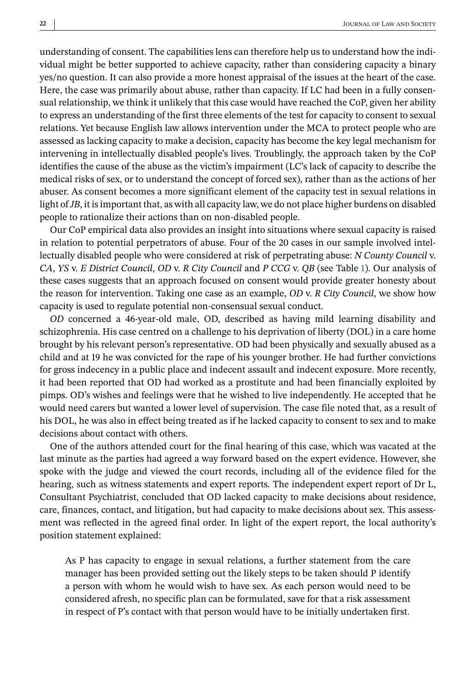understanding of consent. The capabilities lens can therefore help us to understand how the individual might be better supported to achieve capacity, rather than considering capacity a binary yes/no question. It can also provide a more honest appraisal of the issues at the heart of the case. Here, the case was primarily about abuse, rather than capacity. If LC had been in a fully consensual relationship, we think it unlikely that this case would have reached the CoP, given her ability to express an understanding of the first three elements of the test for capacity to consent to sexual relations. Yet because English law allows intervention under the MCA to protect people who are assessed as lacking capacity to make a decision, capacity has become the key legal mechanism for intervening in intellectually disabled people's lives. Troublingly, the approach taken by the CoP identifies the cause of the abuse as the victim's impairment (LC's lack of capacity to describe the medical risks of sex, or to understand the concept of forced sex), rather than as the actions of her abuser. As consent becomes a more significant element of the capacity test in sexual relations in light of*JB*, it is important that, as with all capacity law, we do not place higher burdens on disabled people to rationalize their actions than on non-disabled people.

Our CoP empirical data also provides an insight into situations where sexual capacity is raised in relation to potential perpetrators of abuse. Four of the 20 cases in our sample involved intellectually disabled people who were considered at risk of perpetrating abuse: *N County Council* v. *CA*, *YS* v. *E District Council*, *OD* v. *R City Council* and *P CCG* v. *QB* (see Table [1\)](#page-4-0). Our analysis of these cases suggests that an approach focused on consent would provide greater honesty about the reason for intervention. Taking one case as an example, *OD* v. *R City Council*, we show how capacity is used to regulate potential non-consensual sexual conduct.

*OD* concerned a 46-year-old male, OD, described as having mild learning disability and schizophrenia. His case centred on a challenge to his deprivation of liberty (DOL) in a care home brought by his relevant person's representative. OD had been physically and sexually abused as a child and at 19 he was convicted for the rape of his younger brother. He had further convictions for gross indecency in a public place and indecent assault and indecent exposure. More recently, it had been reported that OD had worked as a prostitute and had been financially exploited by pimps. OD's wishes and feelings were that he wished to live independently. He accepted that he would need carers but wanted a lower level of supervision. The case file noted that, as a result of his DOL, he was also in effect being treated as if he lacked capacity to consent to sex and to make decisions about contact with others.

One of the authors attended court for the final hearing of this case, which was vacated at the last minute as the parties had agreed a way forward based on the expert evidence. However, she spoke with the judge and viewed the court records, including all of the evidence filed for the hearing, such as witness statements and expert reports. The independent expert report of Dr L, Consultant Psychiatrist, concluded that OD lacked capacity to make decisions about residence, care, finances, contact, and litigation, but had capacity to make decisions about sex. This assessment was reflected in the agreed final order. In light of the expert report, the local authority's position statement explained:

As P has capacity to engage in sexual relations, a further statement from the care manager has been provided setting out the likely steps to be taken should P identify a person with whom he would wish to have sex. As each person would need to be considered afresh, no specific plan can be formulated, save for that a risk assessment in respect of P's contact with that person would have to be initially undertaken first.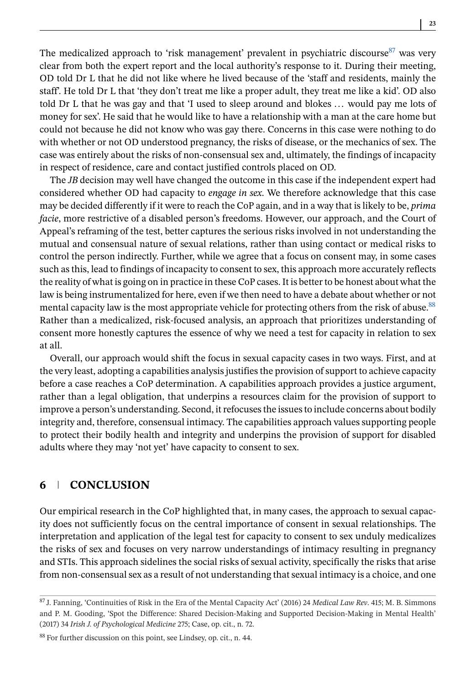The medicalized approach to 'risk management' prevalent in psychiatric discourse  $87$  was very clear from both the expert report and the local authority's response to it. During their meeting, OD told Dr L that he did not like where he lived because of the 'staff and residents, mainly the staff'. He told Dr L that 'they don't treat me like a proper adult, they treat me like a kid'. OD also told Dr L that he was gay and that 'I used to sleep around and blokes ... would pay me lots of money for sex'. He said that he would like to have a relationship with a man at the care home but could not because he did not know who was gay there. Concerns in this case were nothing to do with whether or not OD understood pregnancy, the risks of disease, or the mechanics of sex. The case was entirely about the risks of non-consensual sex and, ultimately, the findings of incapacity in respect of residence, care and contact justified controls placed on OD.

The *JB* decision may well have changed the outcome in this case if the independent expert had considered whether OD had capacity to *engage in sex*. We therefore acknowledge that this case may be decided differently if it were to reach the CoP again, and in a way that is likely to be, *prima facie*, more restrictive of a disabled person's freedoms. However, our approach, and the Court of Appeal's reframing of the test, better captures the serious risks involved in not understanding the mutual and consensual nature of sexual relations, rather than using contact or medical risks to control the person indirectly. Further, while we agree that a focus on consent may, in some cases such as this, lead to findings of incapacity to consent to sex, this approach more accurately reflects the reality of what is going on in practice in these CoP cases. It is better to be honest about what the law is being instrumentalized for here, even if we then need to have a debate about whether or not mental capacity law is the most appropriate vehicle for protecting others from the risk of abuse.<sup>88</sup> Rather than a medicalized, risk-focused analysis, an approach that prioritizes understanding of consent more honestly captures the essence of why we need a test for capacity in relation to sex at all.

Overall, our approach would shift the focus in sexual capacity cases in two ways. First, and at the very least, adopting a capabilities analysis justifies the provision of support to achieve capacity before a case reaches a CoP determination. A capabilities approach provides a justice argument, rather than a legal obligation, that underpins a resources claim for the provision of support to improve a person's understanding. Second, it refocuses the issues to include concerns about bodily integrity and, therefore, consensual intimacy. The capabilities approach values supporting people to protect their bodily health and integrity and underpins the provision of support for disabled adults where they may 'not yet' have capacity to consent to sex.

## **6 CONCLUSION**

Our empirical research in the CoP highlighted that, in many cases, the approach to sexual capacity does not sufficiently focus on the central importance of consent in sexual relationships. The interpretation and application of the legal test for capacity to consent to sex unduly medicalizes the risks of sex and focuses on very narrow understandings of intimacy resulting in pregnancy and STIs. This approach sidelines the social risks of sexual activity, specifically the risks that arise from non-consensual sex as a result of not understanding that sexual intimacy is a choice, and one

<sup>87</sup> J. Fanning, 'Continuities of Risk in the Era of the Mental Capacity Act' (2016) 24 *Medical Law Rev*. 415; M. B. Simmons and P. M. Gooding, 'Spot the Difference: Shared Decision-Making and Supported Decision-Making in Mental Health' (2017) 34 *Irish J. of Psychological Medicine* 275; Case, op. cit., n. 72.

<sup>88</sup> For further discussion on this point, see Lindsey, op. cit., n. 44.